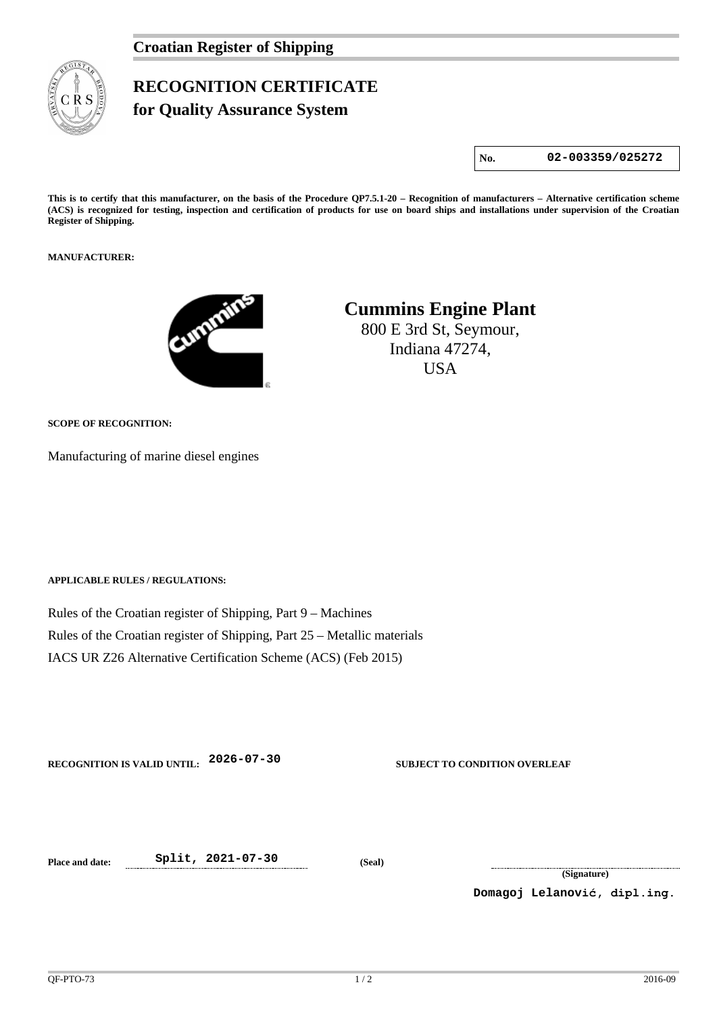## **RECOGNITION CERTIFICATE for Quality Assurance System**

**No. 02-003359/025272**

**This is to certify that this manufacturer, on the basis of the Procedure QP7.5.1-20 – Recognition of manufacturers – Alternative certification scheme (ACS) is recognized for testing, inspection and certification of products for use on board ships and installations under supervision of the Croatian Register of Shipping.**

#### **MANUFACTURER:**



# **Cummins Engine Plant**

800 E 3rd St, Seymour, Indiana 47274, **USA** 

### **SCOPE OF RECOGNITION:**

Manufacturing of marine diesel engines

**APPLICABLE RULES / REGULATIONS:**

Rules of the Croatian register of Shipping, Part 9 – Machines Rules of the Croatian register of Shipping, Part 25 – Metallic materials IACS UR Z26 Alternative Certification Scheme (ACS) (Feb 2015)

**RECOGNITION IS VALID UNTIL: 2026-07-30 SUBJECT TO CONDITION OVERLEAF**

**Place and date: Split, 2021-07-30 (Seal)**

**(Signature)**

**Domagoj Lelanović, dipl.ing.**